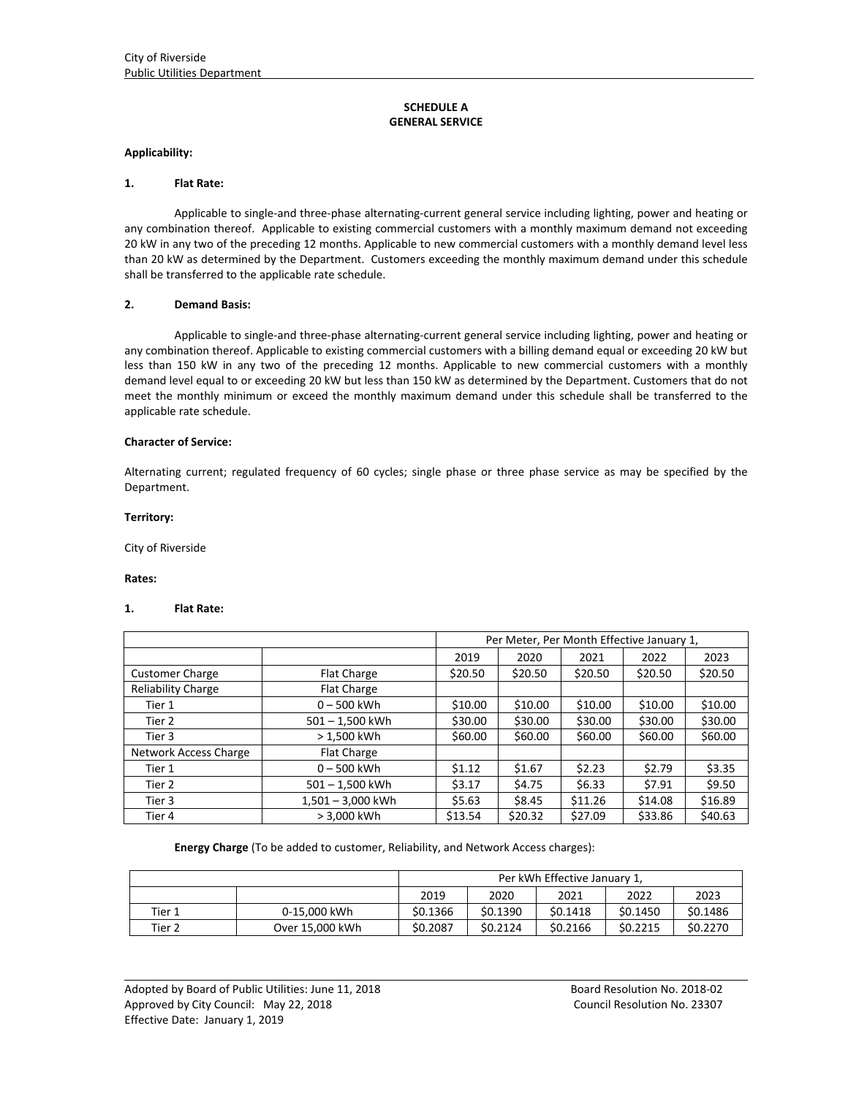# **SCHEDULE A GENERAL SERVICE**

## **Applicability:**

#### **1. Flat Rate:**

Applicable to single‐and three‐phase alternating‐current general service including lighting, power and heating or any combination thereof. Applicable to existing commercial customers with a monthly maximum demand not exceeding 20 kW in any two of the preceding 12 months. Applicable to new commercial customers with a monthly demand level less than 20 kW as determined by the Department. Customers exceeding the monthly maximum demand under this schedule shall be transferred to the applicable rate schedule.

# **2. Demand Basis:**

Applicable to single‐and three‐phase alternating‐current general service including lighting, power and heating or any combination thereof. Applicable to existing commercial customers with a billing demand equal or exceeding 20 kW but less than 150 kW in any two of the preceding 12 months. Applicable to new commercial customers with a monthly demand level equal to or exceeding 20 kW but less than 150 kW as determined by the Department. Customers that do not meet the monthly minimum or exceed the monthly maximum demand under this schedule shall be transferred to the applicable rate schedule.

#### **Character of Service:**

Alternating current; regulated frequency of 60 cycles; single phase or three phase service as may be specified by the Department.

#### **Territory:**

City of Riverside

#### **Rates:**

#### **1. Flat Rate:**

|                           | Per Meter, Per Month Effective January 1, |         |         |         |         |         |
|---------------------------|-------------------------------------------|---------|---------|---------|---------|---------|
|                           |                                           | 2019    | 2020    | 2021    | 2022    | 2023    |
| <b>Customer Charge</b>    | <b>Flat Charge</b>                        | \$20.50 | \$20.50 | \$20.50 | \$20.50 | \$20.50 |
| <b>Reliability Charge</b> | Flat Charge                               |         |         |         |         |         |
| Tier 1                    | $0 - 500$ kWh                             | \$10.00 | \$10.00 | \$10.00 | \$10.00 | \$10.00 |
| Tier 2                    | 501-1,500 kWh                             | \$30.00 | \$30.00 | \$30.00 | \$30.00 | \$30.00 |
| Tier 3                    | > 1,500 kWh                               | \$60.00 | \$60.00 | \$60.00 | \$60.00 | \$60.00 |
| Network Access Charge     | <b>Flat Charge</b>                        |         |         |         |         |         |
| Tier 1                    | $0 - 500$ kWh                             | \$1.12  | \$1.67  | \$2.23  | \$2.79  | \$3.35  |
| Tier 2                    | 501-1,500 kWh                             | \$3.17  | \$4.75  | \$6.33  | \$7.91  | \$9.50  |
| Tier 3                    | 1,501 - 3,000 kWh                         | \$5.63  | \$8.45  | \$11.26 | \$14.08 | \$16.89 |
| Tier 4                    | > 3,000 kWh                               | \$13.54 | \$20.32 | \$27.09 | \$33.86 | \$40.63 |

**Energy Charge** (To be added to customer, Reliability, and Network Access charges):

|        |                 | Per kWh Effective January 1. |          |          |          |          |  |
|--------|-----------------|------------------------------|----------|----------|----------|----------|--|
|        |                 | 2019                         | 2020     | 2021     | 2022     | 2023     |  |
| Tier 1 | 0-15.000 kWh    | \$0.1366                     | \$0.1390 | \$0.1418 | \$0.1450 | \$0.1486 |  |
| Tier 2 | Over 15,000 kWh | \$0.2087                     | \$0.2124 | \$0.2166 | \$0.2215 | \$0.2270 |  |

<u> 1989 - Johann Stoff, deutscher Stoffen und der Stoffen und der Stoffen und der Stoffen und der Stoffen und der</u>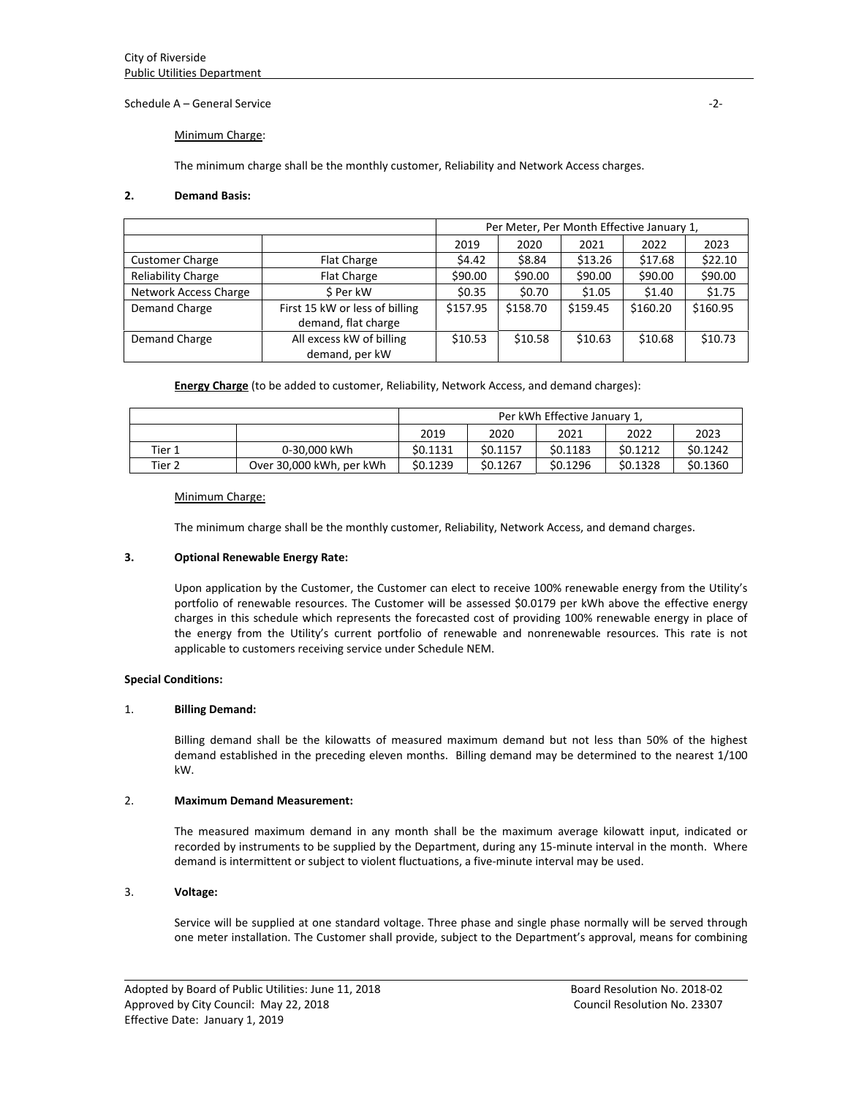Schedule A – General Service ‐2‐

## Minimum Charge:

The minimum charge shall be the monthly customer, Reliability and Network Access charges.

## **2. Demand Basis:**

|                           | Per Meter, Per Month Effective January 1, |          |          |          |          |          |
|---------------------------|-------------------------------------------|----------|----------|----------|----------|----------|
|                           |                                           | 2019     | 2020     | 2021     | 2022     | 2023     |
| <b>Customer Charge</b>    | Flat Charge                               | \$4.42   | \$8.84   | \$13.26  | \$17.68  | \$22.10  |
| <b>Reliability Charge</b> | <b>Flat Charge</b>                        | \$90.00  | \$90.00  | \$90.00  | \$90.00  | \$90.00  |
| Network Access Charge     | \$ Per kW                                 | \$0.35   | \$0.70   | \$1.05   | \$1.40   | \$1.75   |
| Demand Charge             | First 15 kW or less of billing            | \$157.95 | \$158.70 | \$159.45 | \$160.20 | \$160.95 |
|                           | demand, flat charge                       |          |          |          |          |          |
| Demand Charge             | All excess kW of billing                  | \$10.53  | \$10.58  | \$10.63  | \$10.68  | \$10.73  |
|                           | demand, per kW                            |          |          |          |          |          |

**Energy Charge** (to be added to customer, Reliability, Network Access, and demand charges):

|        | Per kWh Effective January 1, |          |          |          |          |          |
|--------|------------------------------|----------|----------|----------|----------|----------|
|        |                              | 2019     | 2020     | 2021     | 2022     | 2023     |
| Tier 1 | 0-30.000 kWh                 | \$0.1131 | \$0.1157 | \$0.1183 | \$0.1212 | \$0.1242 |
| Tier 2 | Over 30,000 kWh, per kWh     | \$0.1239 | \$0.1267 | \$0.1296 | \$0.1328 | \$0.1360 |

## Minimum Charge:

The minimum charge shall be the monthly customer, Reliability, Network Access, and demand charges.

## **3. Optional Renewable Energy Rate:**

Upon application by the Customer, the Customer can elect to receive 100% renewable energy from the Utility's portfolio of renewable resources. The Customer will be assessed \$0.0179 per kWh above the effective energy charges in this schedule which represents the forecasted cost of providing 100% renewable energy in place of the energy from the Utility's current portfolio of renewable and nonrenewable resources. This rate is not applicable to customers receiving service under Schedule NEM.

## **Special Conditions:**

## 1. **Billing Demand:**

Billing demand shall be the kilowatts of measured maximum demand but not less than 50% of the highest demand established in the preceding eleven months. Billing demand may be determined to the nearest 1/100 kW.

## 2. **Maximum Demand Measurement:**

The measured maximum demand in any month shall be the maximum average kilowatt input, indicated or recorded by instruments to be supplied by the Department, during any 15‐minute interval in the month. Where demand is intermittent or subject to violent fluctuations, a five-minute interval may be used.

# 3. **Voltage:**

Service will be supplied at one standard voltage. Three phase and single phase normally will be served through one meter installation. The Customer shall provide, subject to the Department's approval, means for combining

<u> 1989 - Johann Stoff, deutscher Stoffen und der Stoffen und der Stoffen und der Stoffen und der Stoffen und der</u>